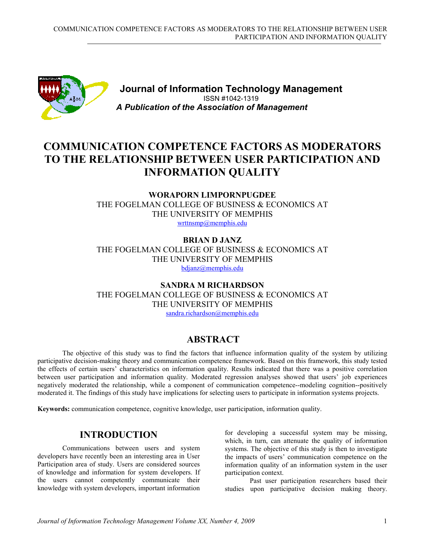

**Journal of Information Technology Management** ISSN #1042-1319 *A Publication of the Association of Management*

# **COMMUNICATION COMPETENCE FACTORS AS MODERATORS TO THE RELATIONSHIP BETWEEN USER PARTICIPATION AND INFORMATION QUALITY**

**WORAPORN LIMPORNPUGDEE** THE FOGELMAN COLLEGE OF BUSINESS & ECONOMICS AT THE UNIVERSITY OF MEMPHIS wrttnsmp@memphis.edu

**BRIAN D JANZ** THE FOGELMAN COLLEGE OF BUSINESS & ECONOMICS AT THE UNIVERSITY OF MEMPHIS bdjanz@memphis.edu

**SANDRA M RICHARDSON** THE FOGELMAN COLLEGE OF BUSINESS & ECONOMICS AT THE UNIVERSITY OF MEMPHIS sandra.richardson@memphis.edu

# **ABSTRACT**

The objective of this study was to find the factors that influence information quality of the system by utilizing participative decision-making theory and communication competence framework. Based on this framework, this study tested the effects of certain users' characteristics on information quality. Results indicated that there was a positive correlation between user participation and information quality. Moderated regression analyses showed that users' job experiences negatively moderated the relationship, while a component of communication competence--modeling cognition--positively moderated it. The findings of this study have implications for selecting users to participate in information systems projects.

**Keywords:** communication competence, cognitive knowledge, user participation, information quality.

# **INTRODUCTION**

Communications between users and system developers have recently been an interesting area in User Participation area of study. Users are considered sources of knowledge and information for system developers. If the users cannot competently communicate their knowledge with system developers, important information

for developing a successful system may be missing, which, in turn, can attenuate the quality of information systems. The objective of this study is then to investigate the impacts of users' communication competence on the information quality of an information system in the user participation context.

Past user participation researchers based their studies upon participative decision making theory.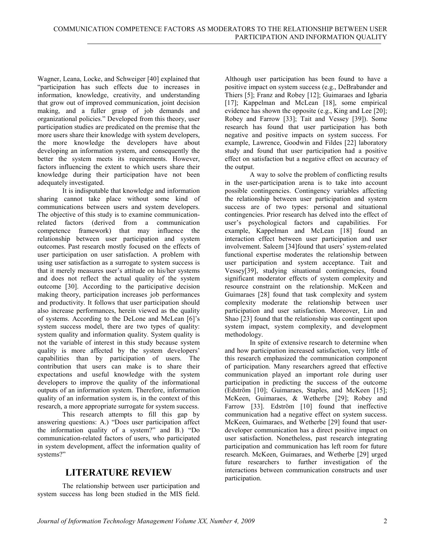Wagner, Leana, Locke, and Schweiger [40] explained that "participation has such effects due to increases in information, knowledge, creativity, and understanding that grow out of improved communication, joint decision making, and a fuller grasp of job demands and organizational policies." Developed from this theory, user participation studies are predicated on the premise that the more users share their knowledge with system developers, the more knowledge the developers have about developing an information system, and consequently the better the system meets its requirements. However, factors influencing the extent to which users share their knowledge during their participation have not been adequately investigated.

It is indisputable that knowledge and information sharing cannot take place without some kind of communications between users and system developers. The objective of this study is to examine communicationrelated factors (derived from a communication competence framework) that may influence the relationship between user participation and system outcomes. Past research mostly focused on the effects of user participation on user satisfaction. A problem with using user satisfaction as a surrogate to system success is that it merely measures user's attitude on his/her systems and does not reflect the actual quality of the system outcome [30]. According to the participative decision making theory, participation increases job performances and productivity. It follows that user participation should also increase performances, herein viewed as the quality of systems. According to the DeLone and McLean [6]'s system success model, there are two types of quality: system quality and information quality. System quality is not the variable of interest in this study because system quality is more affected by the system developers' capabilities than by participation of users. The contribution that users can make is to share their expectations and useful knowledge with the system developers to improve the quality of the informational outputs of an information system. Therefore, information quality of an information system is, in the context of this research, a more appropriate surrogate for system success.

This research attempts to fill this gap by answering questions: A.) "Does user participation affect the information quality of a system?" and B.) "Do communication-related factors of users, who participated in system development, affect the information quality of systems?"

# **LITERATURE REVIEW**

The relationship between user participation and system success has long been studied in the MIS field.

Although user participation has been found to have a positive impact on system success (e.g., DeBrabander and Thiers [5]; Franz and Robey [12]; Guimaraes and Igbaria [17]; Kappelman and McLean [18], some empirical evidence has shown the opposite (e.g., King and Lee [20]; Robey and Farrow [33]; Tait and Vessey [39]). Some research has found that user participation has both negative and positive impacts on system success. For example, Lawrence, Goodwin and Fildes [22] laboratory study and found that user participation had a positive effect on satisfaction but a negative effect on accuracy of the output.

A way to solve the problem of conflicting results in the user-participation arena is to take into account possible contingencies. Contingency variables affecting the relationship between user participation and system success are of two types: personal and situational contingencies. Prior research has delved into the effect of user's psychological factors and capabilities. For example, Kappelman and McLean [18] found an interaction effect between user participation and user involvement. Saleem [34]found that users' system-related functional expertise moderates the relationship between user participation and system acceptance. Tait and Vessey[39], studying situational contingencies, found significant moderator effects of system complexity and resource constraint on the relationship. McKeen and Guimaraes [28] found that task complexity and system complexity moderate the relationship between user participation and user satisfaction. Moreover, Lin and Shao [23] found that the relationship was contingent upon system impact, system complexity, and development methodology.

In spite of extensive research to determine when and how participation increased satisfaction, very little of this research emphasized the communication component of participation. Many researchers agreed that effective communication played an important role during user participation in predicting the success of the outcome (Edström [10]; Guimaraes, Staples, and McKeen [15]; McKeen, Guimaraes, & Wetherbe [29]; Robey and Farrow [33]. Edström [10] found that ineffective communication had a negative effect on system success. McKeen, Guimaraes, and Wetherbe [29] found that userdeveloper communication has a direct positive impact on user satisfaction. Nonetheless, past research integrating participation and communication has left room for future research. McKeen, Guimaraes, and Wetherbe [29] urged future researchers to further investigation of the interactions between communication constructs and user participation.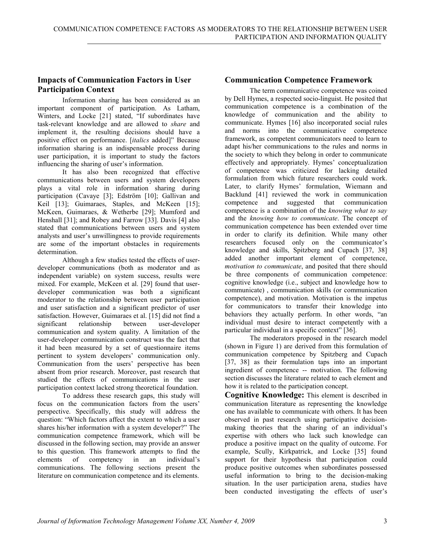### **Impacts of Communication Factors in User Participation Context**

Information sharing has been considered as an important component of participation. As Latham, Winters, and Locke [21] stated, "If subordinates have task-relevant knowledge and are allowed to *share* and implement it, the resulting decisions should have a positive effect on performance. [*italics* added]" Because information sharing is an indispensable process during user participation, it is important to study the factors influencing the sharing of user's information.

It has also been recognized that effective communications between users and system developers plays a vital role in information sharing during participation (Cavaye [3]; Edström [10]; Gallivan and Keil [13]; Guimaraes, Staples, and McKeen [15]; McKeen, Guimaraes, & Wetherbe [29]; Mumford and Henshall [31]; and Robey and Farrow [33]. Davis [4] also stated that communications between users and system analysts and user's unwillingness to provide requirements are some of the important obstacles in requirements determination.

Although a few studies tested the effects of userdeveloper communications (both as moderator and as independent variable) on system success, results were mixed. For example, McKeen et al. [29] found that userdeveloper communication was both a significant moderator to the relationship between user participation and user satisfaction and a significant predictor of user satisfaction. However, Guimaraes et al. [15] did not find a significant relationship between user-developer communication and system quality. A limitation of the user-developer communication construct was the fact that it had been measured by a set of questionnaire items pertinent to system developers' communication only. Communication from the users' perspective has been absent from prior research. Moreover, past research that studied the effects of communications in the user participation context lacked strong theoretical foundation.

To address these research gaps, this study will focus on the communication factors from the users' perspective. Specifically, this study will address the question: "Which factors affect the extent to which a user shares his/her information with a system developer?" The communication competence framework, which will be discussed in the following section, may provide an answer to this question. This framework attempts to find the elements of competency in an individual's elements of competency in an communications. The following sections present the literature on communication competence and its elements.

## **Communication Competence Framework**

The term communicative competence was coined by Dell Hymes, a respected socio-linguist. He posited that communication competence is a combination of the knowledge of communication and the ability to communicate. Hymes [16] also incorporated social rules and norms into the communicative competence framework, as competent communicators need to learn to adapt his/her communications to the rules and norms in the society to which they belong in order to communicate effectively and appropriately. Hymes' conceptualization of competence was criticized for lacking detailed formulation from which future researchers could work. Later, to clarify Hymes' formulation, Wiemann and Backlund [41] reviewed the work in communication competence and suggested that communication competence is a combination of the *knowing what to say* and the *knowing how to communicate*. The concept of communication competence has been extended over time in order to clarify its definition. While many other researchers focused only on the communicator's knowledge and skills, Spitzberg and Cupach [37, 38] added another important element of competence, *motivation to communicate*, and posited that there should be three components of communication competence: cognitive knowledge (i.e., subject and knowledge how to communicate) , communication skills (or communication competence), and motivation. Motivation is the impetus for communicators to transfer their knowledge into behaviors they actually perform. In other words, "an individual must desire to interact competently with a particular individual in a specific context" [36].

The moderators proposed in the research model (shown in Figure 1) are derived from this formulation of communication competence by Spitzberg and Cupach [37, 38] as their formulation taps into an important ingredient of competence -- motivation. The following section discusses the literature related to each element and how it is related to the participation concept.

**Cognitive Knowledge:** This element is described in communication literature as representing the knowledge one has available to communicate with others. It has been observed in past research using participative decisionmaking theories that the sharing of an individual's expertise with others who lack such knowledge can produce a positive impact on the quality of outcome. For example, Scully, Kirkpatrick, and Locke [35] found support for their hypothesis that participation could produce positive outcomes when subordinates possessed useful information to bring to the decision-making situation. In the user participation arena, studies have been conducted investigating the effects of user's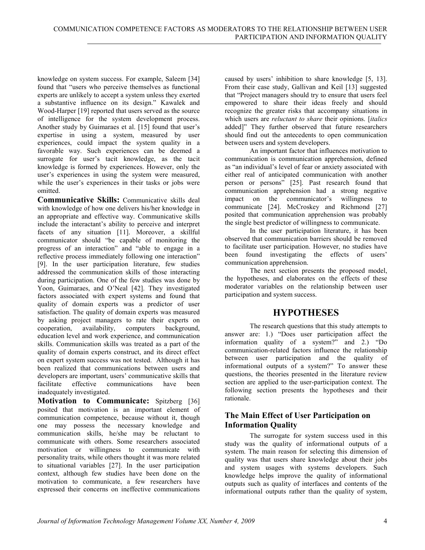knowledge on system success. For example, Saleem [34] found that "users who perceive themselves as functional experts are unlikely to accept a system unless they exerted a substantive influence on its design." Kawalek and Wood-Harper [19] reported that users served as the source of intelligence for the system development process. Another study by Guimaraes et al. [15] found that user's expertise in using a system, measured by user experiences, could impact the system quality in a favorable way. Such experiences can be deemed a surrogate for user's tacit knowledge, as the tacit knowledge is formed by experiences. However, only the user's experiences in using the system were measured, while the user's experiences in their tasks or jobs were omitted.

**Communicative Skills:** Communicative skills deal with knowledge of how one delivers his/her knowledge in an appropriate and effective way. Communicative skills include the interactant's ability to perceive and interpret facets of any situation [11]. Moreover, a skillful communicator should "be capable of monitoring the progress of an interaction" and "able to engage in a reflective process immediately following one interaction" [9]. In the user participation literature, few studies addressed the communication skills of those interacting during participation. One of the few studies was done by Yoon, Guimaraes, and O'Neal [42]. They investigated factors associated with expert systems and found that quality of domain experts was a predictor of user satisfaction. The quality of domain experts was measured by asking project managers to rate their experts on cooperation, availability, computers background, cooperation, availability, computers background, education level and work experience, and communication skills. Communication skills was treated as a part of the quality of domain experts construct, and its direct effect on expert system success was not tested. Although it has been realized that communications between users and developers are important, users' communicative skills that<br>facilitate effective communications have been facilitate effective communications have been inadequately investigated.

**Motivation to Communicate:** Spitzberg [36] posited that motivation is an important element of communication competence, because without it, though one may possess the necessary knowledge and communication skills, he/she may be reluctant to communicate with others. Some researchers associated motivation or willingness to communicate with personality traits, while others thought it was more related to situational variables [27]. In the user participation context, although few studies have been done on the motivation to communicate, a few researchers have expressed their concerns on ineffective communications

caused by users' inhibition to share knowledge [5, 13]. From their case study, Gallivan and Keil [13] suggested that "Project managers should try to ensure that users feel empowered to share their ideas freely and should recognize the greater risks that accompany situations in which users are *reluctant to share* their opinions. [*italics* added]" They further observed that future researchers should find out the antecedents to open communication between users and system developers.

An important factor that influences motivation to communication is communication apprehension, defined as "an individual's level of fear or anxiety associated with either real of anticipated communication with another person or persons" [25]. Past research found that communication apprehension had a strong negative impact on the communicator's willingness to communicate [24]. McCroskey and Richmond [27] posited that communication apprehension was probably the single best predictor of willingness to communicate.

In the user participation literature, it has been observed that communication barriers should be removed to facilitate user participation. However, no studies have been found investigating the effects of users' communication apprehension.

The next section presents the proposed model, the hypotheses, and elaborates on the effects of these moderator variables on the relationship between user participation and system success.

# **HYPOTHESES**

The research questions that this study attempts to answer are: 1.) "Does user participation affect the information quality of a system?" and 2.) "Do communication-related factors influence the relationship between user participation and the quality of informational outputs of a system?" To answer these questions, the theories presented in the literature review section are applied to the user-participation context. The following section presents the hypotheses and their rationale.

### **The Main Effect of User Participation on Information Quality**

The surrogate for system success used in this study was the quality of informational outputs of a system. The main reason for selecting this dimension of quality was that users share knowledge about their jobs and system usages with systems developers. Such knowledge helps improve the quality of informational outputs such as quality of interfaces and contents of the informational outputs rather than the quality of system,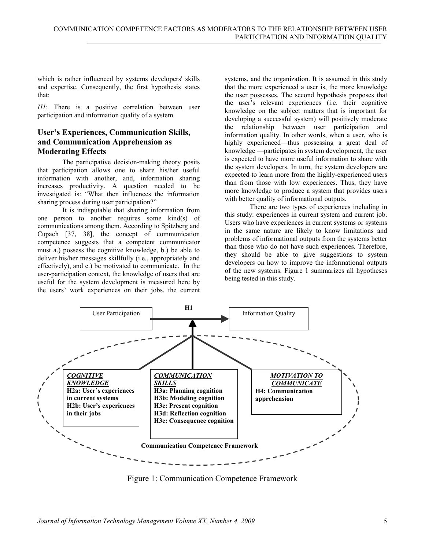which is rather influenced by systems developers' skills and expertise. Consequently, the first hypothesis states that:

*H1*: There is a positive correlation between user participation and information quality of a system.

### **User's Experiences, Communication Skills, and Communication Apprehension as Moderating Effects**

The participative decision-making theory posits that participation allows one to share his/her useful information with another, and, information sharing increases productivity. A question needed to be investigated is: "What then influences the information sharing process during user participation?"

It is indisputable that sharing information from one person to another requires some kind(s) of communications among them. According to Spitzberg and Cupach [37, 38], the concept of communication competence suggests that a competent communicator must a.) possess the cognitive knowledge, b.) be able to deliver his/her messages skillfully (i.e., appropriately and effectively), and c.) be motivated to communicate. In the user-participation context, the knowledge of users that are useful for the system development is measured here by the users' work experiences on their jobs, the current

systems, and the organization. It is assumed in this study that the more experienced a user is, the more knowledge the user possesses. The second hypothesis proposes that the user's relevant experiences (i.e. their cognitive knowledge on the subject matters that is important for developing a successful system) will positively moderate the relationship between user participation and information quality. In other words, when a user, who is highly experienced—thus possessing a great deal of knowledge —participates in system development, the user is expected to have more useful information to share with the system developers. In turn, the system developers are expected to learn more from the highly-experienced users than from those with low experiences. Thus, they have more knowledge to produce a system that provides users with better quality of informational outputs.

There are two types of experiences including in this study: experiences in current system and current job. Users who have experiences in current systems or systems in the same nature are likely to know limitations and problems of informational outputs from the systems better than those who do not have such experiences. Therefore, they should be able to give suggestions to system developers on how to improve the informational outputs of the new systems. Figure 1 summarizes all hypotheses being tested in this study.



Figure 1: Communication Competence Framework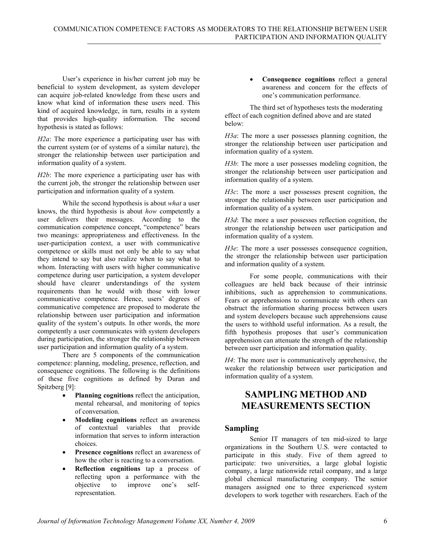User's experience in his/her current job may be beneficial to system development, as system developer can acquire job-related knowledge from these users and know what kind of information these users need. This kind of acquired knowledge, in turn, results in a system that provides high-quality information. The second hypothesis is stated as follows:

*H2a*: The more experience a participating user has with the current system (or of systems of a similar nature), the stronger the relationship between user participation and information quality of a system.

*H2b*: The more experience a participating user has with the current job, the stronger the relationship between user participation and information quality of a system.

While the second hypothesis is about *what* a user knows, the third hypothesis is about *how* competently a user delivers their messages. According to the communication competence concept, "competence" bears two meanings: appropriateness and effectiveness. In the user-participation context, a user with communicative competence or skills must not only be able to say what they intend to say but also realize when to say what to whom. Interacting with users with higher communicative competence during user participation, a system developer should have clearer understandings of the system requirements than he would with those with lower communicative competence. Hence, users' degrees of communicative competence are proposed to moderate the relationship between user participation and information quality of the system's outputs. In other words, the more competently a user communicates with system developers during participation, the stronger the relationship between user participation and information quality of a system.

There are 5 components of the communication competence: planning, modeling, presence, reflection, and consequence cognitions. The following is the definitions of these five cognitions as defined by Duran and Spitzberg [9]:

- **Planning cognitions** reflect the anticipation, mental rehearsal, and monitoring of topics of conversation.
- **Modeling cognitions** reflect an awareness of contextual variables that provide information that serves to inform interaction choices.
- **Presence cognitions** reflect an awareness of how the other is reacting to a conversation.
- **Reflection cognitions** tap a process of reflecting upon a performance with the objective to improve one's selfrepresentation.

• **Consequence cognitions** reflect a general awareness and concern for the effects of one's communication performance.

The third set of hypotheses tests the moderating effect of each cognition defined above and are stated below:

*H3a*: The more a user possesses planning cognition, the stronger the relationship between user participation and information quality of a system.

*H3b*: The more a user possesses modeling cognition, the stronger the relationship between user participation and information quality of a system.

*H3c*: The more a user possesses present cognition, the stronger the relationship between user participation and information quality of a system.

*H3d*: The more a user possesses reflection cognition, the stronger the relationship between user participation and information quality of a system.

*H3e*: The more a user possesses consequence cognition, the stronger the relationship between user participation and information quality of a system.

For some people, communications with their colleagues are held back because of their intrinsic inhibitions, such as apprehension to communications. Fears or apprehensions to communicate with others can obstruct the information sharing process between users and system developers because such apprehensions cause the users to withhold useful information. As a result, the fifth hypothesis proposes that user's communication apprehension can attenuate the strength of the relationship between user participation and information quality.

*H4*: The more user is communicatively apprehensive, the weaker the relationship between user participation and information quality of a system.

# **SAMPLING METHOD AND MEASUREMENTS SECTION**

### **Sampling**

Senior IT managers of ten mid-sized to large organizations in the Southern U.S. were contacted to participate in this study. Five of them agreed to participate: two universities, a large global logistic company, a large nationwide retail company, and a large global chemical manufacturing company. The senior managers assigned one to three experienced system developers to work together with researchers. Each of the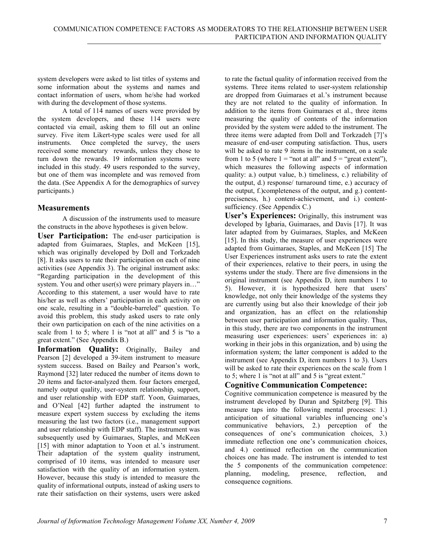system developers were asked to list titles of systems and some information about the systems and names and contact information of users, whom he/she had worked with during the development of those systems.

A total of 114 names of users were provided by the system developers, and these 114 users were contacted via email, asking them to fill out an online survey. Five item Likert-type scales were used for all instruments. Once completed the survey, the users received some monetary rewards, unless they chose to turn down the rewards. 19 information systems were included in this study. 49 users responded to the survey, but one of them was incomplete and was removed from the data. (See Appendix A for the demographics of survey participants.)

#### **Measurements**

A discussion of the instruments used to measure the constructs in the above hypotheses is given below.

**User Participation:** The end-user participation is adapted from Guimaraes, Staples, and McKeen [15], which was originally developed by Doll and Torkzadeh [8]. It asks users to rate their participation on each of nine activities (see Appendix 3). The original instrument asks: "Regarding participation in the development of this system. You and other user(s) were primary players in..." According to this statement, a user would have to rate his/her as well as others' participation in each activity on one scale, resulting in a "double-barreled" question. To avoid this problem, this study asked users to rate only their own participation on each of the nine activities on a scale from 1 to 5; where 1 is "not at all" and 5 is "to a great extent." (See Appendix B.)

**Information Quality:** Originally, Bailey and Pearson [2] developed a 39-item instrument to measure system success. Based on Bailey and Pearson's work, Raymond [32] later reduced the number of items down to 20 items and factor-analyzed them. four factors emerged, namely output quality, user-system relationship, support, and user relationship with EDP staff. Yoon, Guimaraes, and O'Neal [42] further adapted the instrument to measure expert system success by excluding the items measuring the last two factors (i.e., management support and user relationship with EDP staff). The instrument was subsequently used by Guimaraes, Staples, and McKeen [15] with minor adaptation to Yoon et al.'s instrument. Their adaptation of the system quality instrument, comprised of 10 items, was intended to measure user satisfaction with the quality of an information system. However, because this study is intended to measure the quality of informational outputs, instead of asking users to rate their satisfaction on their systems, users were asked

to rate the factual quality of information received from the systems. Three items related to user-system relationship are dropped from Guimaraes et al.'s instrument because they are not related to the quality of information. In addition to the items from Guimaraes et al., three items measuring the quality of contents of the information provided by the system were added to the instrument. The three items were adapted from Doll and Torkzadeh [7]'s measure of end-user computing satisfaction. Thus, users will be asked to rate 9 items in the instrument, on a scale from 1 to 5 (where  $1 = \text{``not at all''}$  and  $5 = \text{``great extent''}$ ), which measures the following aspects of information quality: a.) output value, b.) timeliness, c.) reliability of the output, d.) response/ turnaround time, e.) accuracy of the output, f.)completeness of the output, and g.) contentpreciseness, h.) content-achievement, and i.) contentsufficiency. (See Appendix C.)

**User's Experiences:** Originally, this instrument was developed by Igbaria, Guimaraes, and Davis [17]. It was later adapted from by Guimaraes, Staples, and McKeen [15]. In this study, the measure of user experiences were adapted from Guimaraes, Staples, and McKeen [15] The User Experiences instrument asks users to rate the extent of their experiences, relative to their peers, in using the systems under the study. There are five dimensions in the original instrument (see Appendix D, item numbers 1 to 5). However, it is hypothesized here that users' knowledge, not only their knowledge of the systems they are currently using but also their knowledge of their job and organization, has an effect on the relationship between user participation and information quality. Thus, in this study, there are two components in the instrument measuring user experiences: users' experiences in: a) working in their jobs in this organization, and b) using the information system; the latter component is added to the instrument (see Appendix D, item numbers 1 to 3). Users will be asked to rate their experiences on the scale from 1 to 5; where 1 is "not at all" and 5 is "great extent."

### **Cognitive Communication Competence:**

Cognitive communication competence is measured by the instrument developed by Duran and Spitzberg [9]. This measure taps into the following mental processes: 1.) anticipation of situational variables influencing one's communicative behaviors, 2.) perception of the consequences of one's communication choices, 3.) immediate reflection one one's communication choices, and 4.) continued reflection on the communication choices one has made. The instrument is intended to test the 5 components of the communication competence:<br>
planning modeling presence reflection and planning, modeling, presence, reflection, and consequence cognitions.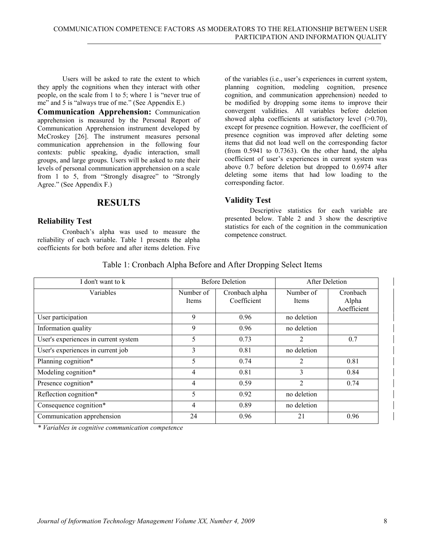Users will be asked to rate the extent to which they apply the cognitions when they interact with other people, on the scale from 1 to 5; where 1 is "never true of me" and 5 is "always true of me." (See Appendix E.)

**Communication Apprehension:** Communication apprehension is measured by the Personal Report of Communication Apprehension instrument developed by McCroskey [26]. The instrument measures personal communication apprehension in the following four contexts: public speaking, dyadic interaction, small groups, and large groups. Users will be asked to rate their levels of personal communication apprehension on a scale from 1 to 5, from "Strongly disagree" to "Strongly Agree." (See Appendix F.)

### **RESULTS**

#### **Reliability Test**

Cronbach's alpha was used to measure the reliability of each variable. Table 1 presents the alpha coefficients for both before and after items deletion. Five

of the variables (i.e., user's experiences in current system, planning cognition, modeling cognition, presence cognition, and communication apprehension) needed to be modified by dropping some items to improve their convergent validities. All variables before deletion showed alpha coefficients at satisfactory level  $(>0.70)$ , except for presence cognition. However, the coefficient of presence cognition was improved after deleting some items that did not load well on the corresponding factor (from 0.5941 to 0.7363). On the other hand, the alpha coefficient of user's experiences in current system was above 0.7 before deletion but dropped to 0.6974 after deleting some items that had low loading to the corresponding factor.

#### **Validity Test**

Descriptive statistics for each variable are presented below. Table 2 and 3 show the descriptive statistics for each of the cognition in the communication competence construct.

#### Table 1: Cronbach Alpha Before and After Dropping Select Items

| I don't want to k                    |                    | <b>Before Deletion</b>        | After Deletion            |                                  |
|--------------------------------------|--------------------|-------------------------------|---------------------------|----------------------------------|
| Variables                            | Number of<br>Items | Cronbach alpha<br>Coefficient | Number of<br><b>Items</b> | Cronbach<br>Alpha<br>Aoefficient |
| User participation                   | 9                  | 0.96                          | no deletion               |                                  |
| Information quality                  | 9                  | 0.96                          | no deletion               |                                  |
| User's experiences in current system | 5                  | 0.73                          | $\overline{2}$            | 0.7                              |
| User's experiences in current job    | 3                  | 0.81                          | no deletion               |                                  |
| Planning cognition*                  | 5                  | 0.74                          | 2                         | 0.81                             |
| Modeling cognition*                  | $\overline{4}$     | 0.81                          | 3                         | 0.84                             |
| Presence cognition*                  | $\overline{4}$     | 0.59                          | $\overline{2}$            | 0.74                             |
| Reflection cognition*                | 5                  | 0.92                          | no deletion               |                                  |
| Consequence cognition*               | $\overline{4}$     | 0.89                          | no deletion               |                                  |
| Communication apprehension           | 24                 | 0.96                          | 21                        | 0.96                             |

*\* Variables in cognitive communication competence*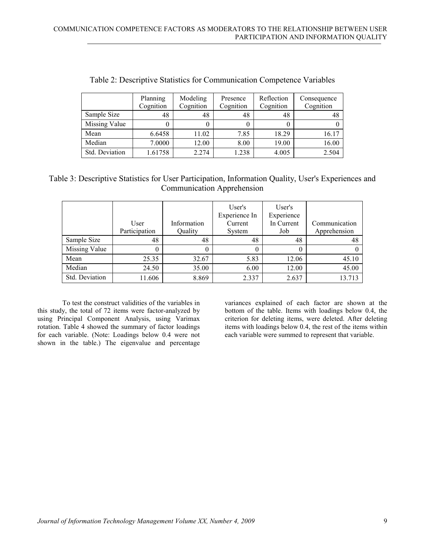|                | Planning<br>Cognition | Modeling<br>Cognition | Presence<br>Cognition | Reflection<br>Cognition | Consequence<br>Cognition |
|----------------|-----------------------|-----------------------|-----------------------|-------------------------|--------------------------|
| Sample Size    | 48                    | 48                    | 48                    | 48                      | 48                       |
| Missing Value  |                       |                       |                       |                         |                          |
| Mean           | 6.6458                | 11.02                 | 7.85                  | 18.29                   | 16.17                    |
| Median         | 7.0000                | 12.00                 | 8.00                  | 19.00                   | 16.00                    |
| Std. Deviation | 1.61758               | 2.274                 | 1.238                 | 4.005                   | 2.504                    |

Table 2: Descriptive Statistics for Communication Competence Variables

# Table 3: Descriptive Statistics for User Participation, Information Quality, User's Experiences and Communication Apprehension

|                | User<br>Participation | Information<br>Quality | User's<br>Experience In<br>Current<br>System | User's<br>Experience<br>In Current<br>Job | Communication<br>Apprehension |
|----------------|-----------------------|------------------------|----------------------------------------------|-------------------------------------------|-------------------------------|
| Sample Size    | 48                    | 48                     | 48                                           | 48                                        | 48                            |
| Missing Value  |                       | $\theta$               | 0                                            | $\theta$                                  |                               |
| Mean           | 25.35                 | 32.67                  | 5.83                                         | 12.06                                     | 45.10                         |
| Median         | 24.50                 | 35.00                  | 6.00                                         | 12.00                                     | 45.00                         |
| Std. Deviation | 11.606                | 8.869                  | 2.337                                        | 2.637                                     | 13.713                        |

To test the construct validities of the variables in this study, the total of 72 items were factor-analyzed by using Principal Component Analysis, using Varimax rotation. Table 4 showed the summary of factor loadings for each variable. (Note: Loadings below 0.4 were not shown in the table.) The eigenvalue and percentage

variances explained of each factor are shown at the bottom of the table. Items with loadings below 0.4, the criterion for deleting items, were deleted. After deleting items with loadings below 0.4, the rest of the items within each variable were summed to represent that variable.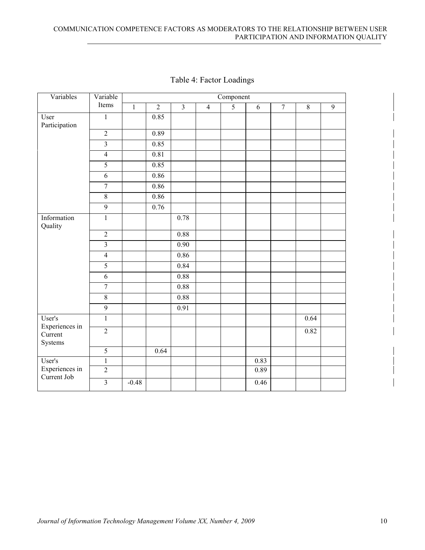| Variables                            | Variable       | Component      |                   |                         |                |                |                |                |                |                |
|--------------------------------------|----------------|----------------|-------------------|-------------------------|----------------|----------------|----------------|----------------|----------------|----------------|
|                                      | Items          | $\overline{1}$ | $\overline{2}$    | $\overline{\mathbf{3}}$ | $\overline{4}$ | $\overline{5}$ | $\overline{6}$ | $\overline{7}$ | $\overline{8}$ | $\overline{9}$ |
| User<br>Participation                | $\,1$          |                | 0.85              |                         |                |                |                |                |                |                |
|                                      | $\overline{2}$ |                | 0.89              |                         |                |                |                |                |                |                |
|                                      | $\overline{3}$ |                | 0.85              |                         |                |                |                |                |                |                |
|                                      | $\overline{4}$ |                | $\overline{0.81}$ |                         |                |                |                |                |                |                |
|                                      | 5              |                | 0.85              |                         |                |                |                |                |                |                |
|                                      | 6              |                | 0.86              |                         |                |                |                |                |                |                |
|                                      | $\overline{7}$ |                | 0.86              |                         |                |                |                |                |                |                |
|                                      | $8\,$          |                | 0.86              |                         |                |                |                |                |                |                |
|                                      | $\overline{9}$ |                | 0.76              |                         |                |                |                |                |                |                |
| Information<br>Quality               | $\,1$          |                |                   | 0.78                    |                |                |                |                |                |                |
|                                      | $\overline{2}$ |                |                   | 0.88                    |                |                |                |                |                |                |
|                                      | $\overline{3}$ |                |                   | $\overline{0.90}$       |                |                |                |                |                |                |
|                                      | $\overline{4}$ |                |                   | 0.86                    |                |                |                |                |                |                |
|                                      | $\overline{5}$ |                |                   | 0.84                    |                |                |                |                |                |                |
|                                      | $\overline{6}$ |                |                   | $0.88\,$                |                |                |                |                |                |                |
|                                      | $\overline{7}$ |                |                   | 0.88                    |                |                |                |                |                |                |
|                                      | $\overline{8}$ |                |                   | $0.88\,$                |                |                |                |                |                |                |
|                                      | $\overline{9}$ |                |                   | 0.91                    |                |                |                |                |                |                |
| User's                               | $\,1$          |                |                   |                         |                |                |                |                | 0.64           |                |
| Experiences in<br>Current<br>Systems | $\overline{2}$ |                |                   |                         |                |                |                |                | 0.82           |                |
|                                      | $\overline{5}$ |                | 0.64              |                         |                |                |                |                |                |                |
| User's                               | $\overline{1}$ |                |                   |                         |                |                | 0.83           |                |                |                |
| Experiences in                       | $\overline{2}$ |                |                   |                         |                |                | 0.89           |                |                |                |
| Current Job                          | $\overline{3}$ | $-0.48$        |                   |                         |                |                | 0.46           |                |                |                |

# Table 4: Factor Loadings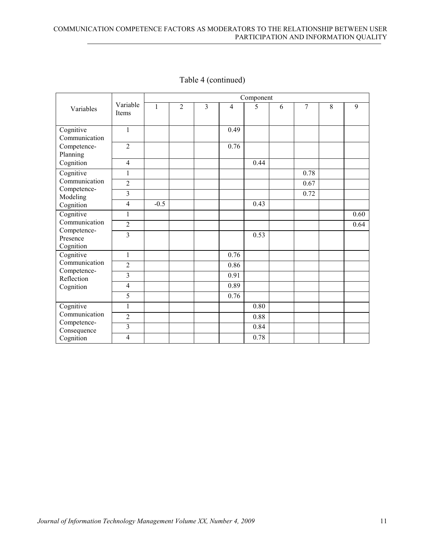|                                                                    |                         |        |                |   |                | Component |   |      |   |      |
|--------------------------------------------------------------------|-------------------------|--------|----------------|---|----------------|-----------|---|------|---|------|
| Variables                                                          | Variable<br>Items       | 1      | $\overline{2}$ | 3 | $\overline{4}$ | 5         | 6 | 7    | 8 | 9    |
| Cognitive<br>Communication                                         | $\mathbf{1}$            |        |                |   | 0.49           |           |   |      |   |      |
| Competence-<br>Planning                                            | $\overline{2}$          |        |                |   | 0.76           |           |   |      |   |      |
| Cognition                                                          | $\overline{4}$          |        |                |   |                | 0.44      |   |      |   |      |
| Cognitive                                                          | $\mathbf{1}$            |        |                |   |                |           |   | 0.78 |   |      |
| Communication                                                      | $\overline{2}$          |        |                |   |                |           |   | 0.67 |   |      |
| Competence-<br>Modeling                                            | 3                       |        |                |   |                |           |   | 0.72 |   |      |
| Cognition                                                          | $\overline{4}$          | $-0.5$ |                |   |                | 0.43      |   |      |   |      |
| Cognitive<br>Communication<br>Competence-<br>Presence<br>Cognition | $\mathbf{1}$            |        |                |   |                |           |   |      |   | 0.60 |
|                                                                    | $\overline{2}$          |        |                |   |                |           |   |      |   | 0.64 |
|                                                                    | $\overline{3}$          |        |                |   |                | 0.53      |   |      |   |      |
| Cognitive                                                          | $\mathbf{1}$            |        |                |   | 0.76           |           |   |      |   |      |
| Communication                                                      | $\overline{2}$          |        |                |   | 0.86           |           |   |      |   |      |
| Competence-<br>Reflection                                          | 3                       |        |                |   | 0.91           |           |   |      |   |      |
| Cognition                                                          | $\overline{4}$          |        |                |   | 0.89           |           |   |      |   |      |
|                                                                    | 5                       |        |                |   | 0.76           |           |   |      |   |      |
| Cognitive<br>Communication                                         | $\mathbf{1}$            |        |                |   |                | 0.80      |   |      |   |      |
|                                                                    | $\overline{2}$          |        |                |   |                | 0.88      |   |      |   |      |
| Competence-<br>Consequence                                         | $\overline{\mathbf{3}}$ |        |                |   |                | 0.84      |   |      |   |      |
| Cognition                                                          | $\overline{4}$          |        |                |   |                | 0.78      |   |      |   |      |

# Table 4 (continued)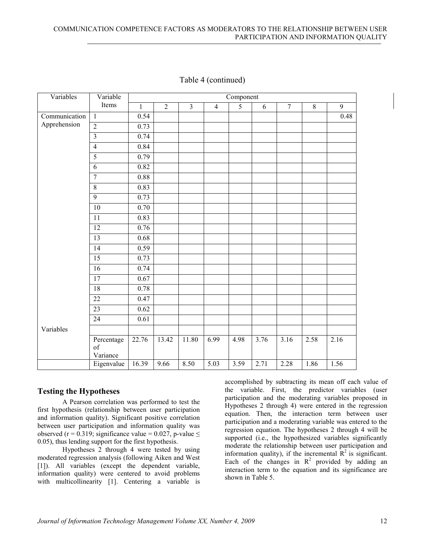| Variables     | Variable                     | Component    |                |                         |                |                |      |                |                |                |
|---------------|------------------------------|--------------|----------------|-------------------------|----------------|----------------|------|----------------|----------------|----------------|
|               | Items                        | $\mathbf{1}$ | $\overline{2}$ | $\overline{\mathbf{3}}$ | $\overline{4}$ | $\overline{5}$ | 6    | $\overline{7}$ | $\overline{8}$ | $\overline{9}$ |
| Communication | $\mathbf{1}$                 | 0.54         |                |                         |                |                |      |                |                | 0.48           |
| Apprehension  | $\overline{2}$               | 0.73         |                |                         |                |                |      |                |                |                |
|               | $\overline{3}$               | 0.74         |                |                         |                |                |      |                |                |                |
|               | $\overline{4}$               | 0.84         |                |                         |                |                |      |                |                |                |
|               | $\overline{5}$               | 0.79         |                |                         |                |                |      |                |                |                |
|               | 6                            | 0.82         |                |                         |                |                |      |                |                |                |
|               | $\overline{7}$               | 0.88         |                |                         |                |                |      |                |                |                |
|               | $\overline{8}$               | 0.83         |                |                         |                |                |      |                |                |                |
|               | $\overline{9}$               | 0.73         |                |                         |                |                |      |                |                |                |
|               | 10                           | 0.70         |                |                         |                |                |      |                |                |                |
|               | 11                           | 0.83         |                |                         |                |                |      |                |                |                |
|               | $\overline{12}$              | 0.76         |                |                         |                |                |      |                |                |                |
|               | 13                           | 0.68         |                |                         |                |                |      |                |                |                |
|               | $\overline{14}$              | 0.59         |                |                         |                |                |      |                |                |                |
|               | $\overline{15}$              | 0.73         |                |                         |                |                |      |                |                |                |
|               | $\overline{16}$              | 0.74         |                |                         |                |                |      |                |                |                |
|               | 17                           | 0.67         |                |                         |                |                |      |                |                |                |
|               | $\overline{18}$              | 0.78         |                |                         |                |                |      |                |                |                |
|               | $\overline{22}$              | 0.47         |                |                         |                |                |      |                |                |                |
|               | 23                           | 0.62         |                |                         |                |                |      |                |                |                |
|               | 24                           | 0.61         |                |                         |                |                |      |                |                |                |
| Variables     |                              |              |                |                         |                |                |      |                |                |                |
|               | Percentage<br>of<br>Variance | 22.76        | 13.42          | 11.80                   | 6.99           | 4.98           | 3.76 | 3.16           | 2.58           | 2.16           |
|               | Eigenvalue                   | 16.39        | 9.66           | 8.50                    | 5.03           | 3.59           | 2.71 | 2.28           | 1.86           | 1.56           |

#### Table 4 (continued)

#### **Testing the Hypotheses**

A Pearson correlation was performed to test the first hypothesis (relationship between user participation and information quality). Significant positive correlation between user participation and information quality was observed (r = 0.319; significance value = 0.027, p-value  $\leq$ 0.05), thus lending support for the first hypothesis.

Hypotheses 2 through 4 were tested by using moderated regression analysis (following Aiken and West [1]). All variables (except the dependent variable, information quality) were centered to avoid problems with multicollinearity [1]. Centering a variable is

accomplished by subtracting its mean off each value of the variable. First, the predictor variables (user participation and the moderating variables proposed in Hypotheses 2 through 4) were entered in the regression equation. Then, the interaction term between user participation and a moderating variable was entered to the regression equation. The hypotheses 2 through 4 will be supported (i.e., the hypothesized variables significantly moderate the relationship between user participation and information quality), if the incremental  $R^2$  is significant. Each of the changes in  $\mathbb{R}^2$  provided by adding an interaction term to the equation and its significance are shown in Table 5.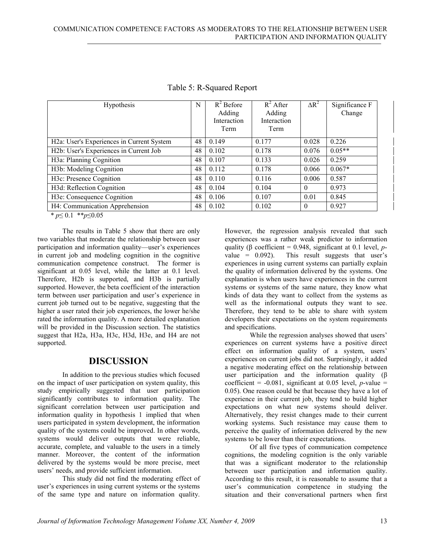| Hypothesis                                                                                                            | N  | $R^2$ Before<br>Adding<br>Interaction<br>Term | $R^2$ After<br>Adding<br>Interaction<br>Term | $\Delta R^2$ | Significance F<br>Change |
|-----------------------------------------------------------------------------------------------------------------------|----|-----------------------------------------------|----------------------------------------------|--------------|--------------------------|
| H <sub>2</sub> a: User's Experiences in Current System                                                                | 48 | 0.149                                         | 0.177                                        | 0.028        | 0.226                    |
| H <sub>2</sub> b: User's Experiences in Current Job                                                                   | 48 | 0.102                                         | 0.178                                        | 0.076        | $0.05**$                 |
| H3a: Planning Cognition                                                                                               | 48 | 0.107                                         | 0.133                                        | 0.026        | 0.259                    |
| H <sub>3</sub> b: Modeling Cognition                                                                                  | 48 | 0.112                                         | 0.178                                        | 0.066        | $0.067*$                 |
| H <sub>3</sub> c: Presence Cognition                                                                                  | 48 | 0.110                                         | 0.116                                        | 0.006        | 0.587                    |
| H3d: Reflection Cognition                                                                                             | 48 | 0.104                                         | 0.104                                        | $\theta$     | 0.973                    |
| H3e: Consequence Cognition                                                                                            | 48 | 0.106                                         | 0.107                                        | 0.01         | 0.845                    |
| H4: Communication Apprehension                                                                                        | 48 | 0.102                                         | 0.102                                        | $\theta$     | 0.927                    |
| $\mathbf{d}$ , $\mathbf{d}$ , $\mathbf{d}$ , $\mathbf{d}$ , $\mathbf{d}$ , $\mathbf{d}$ , $\mathbf{d}$ , $\mathbf{d}$ |    |                                               |                                              |              |                          |

Table 5: R-Squared Report

\* *p*≤ 0.1 \*\**p*≤0.05

The results in Table 5 show that there are only two variables that moderate the relationship between user participation and information quality—user's experiences in current job and modeling cognition in the cognitive communication competence construct. The former is significant at 0.05 level, while the latter at 0.1 level. Therefore, H2b is supported, and H3b is partially supported. However, the beta coefficient of the interaction term between user participation and user's experience in current job turned out to be negative, suggesting that the higher a user rated their job experiences, the lower he/she rated the information quality. A more detailed explanation will be provided in the Discussion section. The statistics suggest that H2a, H3a, H3c, H3d, H3e, and H4 are not supported.

### **DISCUSSION**

In addition to the previous studies which focused on the impact of user participation on system quality, this study empirically suggested that user participation significantly contributes to information quality. The significant correlation between user participation and information quality in hypothesis 1 implied that when users participated in system development, the information quality of the systems could be improved. In other words, systems would deliver outputs that were reliable, accurate, complete, and valuable to the users in a timely manner. Moreover, the content of the information delivered by the systems would be more precise, meet users' needs, and provide sufficient information.

This study did not find the moderating effect of user's experiences in using current systems or the systems of the same type and nature on information quality.

However, the regression analysis revealed that such experiences was a rather weak predictor to information quality (β coefficient = 0.948, significant at 0.1 level, *p*value =  $0.092$ ). This result suggests that user's experiences in using current systems can partially explain the quality of information delivered by the systems. One explanation is when users have experiences in the current systems or systems of the same nature, they know what kinds of data they want to collect from the systems as well as the informational outputs they want to see. Therefore, they tend to be able to share with system developers their expectations on the system requirements and specifications.

While the regression analyses showed that users' experiences on current systems have a positive direct effect on information quality of a system, users' experiences on current jobs did not. Surprisingly, it added a negative moderating effect on the relationship between user participation and the information quality  $(\beta)$ coefficient =  $-0.081$ , significant at 0.05 level, *p*-value = 0.05). One reason could be that because they have a lot of experience in their current job, they tend to build higher expectations on what new systems should deliver. Alternatively, they resist changes made to their current working systems. Such resistance may cause them to perceive the quality of information delivered by the new systems to be lower than their expectations.

Of all five types of communication competence cognitions, the modeling cognition is the only variable that was a significant moderator to the relationship between user participation and information quality. According to this result, it is reasonable to assume that a user's communication competence in studying the situation and their conversational partners when first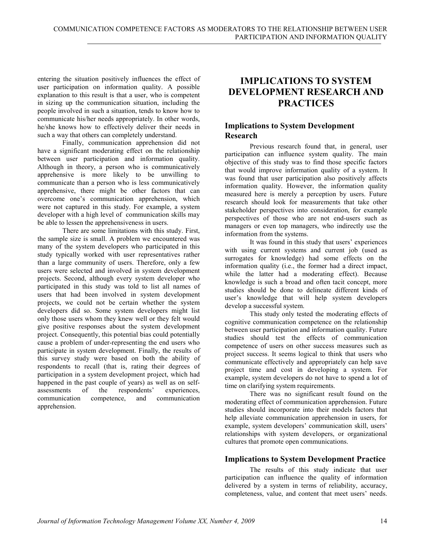entering the situation positively influences the effect of user participation on information quality. A possible explanation to this result is that a user, who is competent in sizing up the communication situation, including the people involved in such a situation, tends to know how to communicate his/her needs appropriately. In other words, he/she knows how to effectively deliver their needs in such a way that others can completely understand.

Finally, communication apprehension did not have a significant moderating effect on the relationship between user participation and information quality. Although in theory, a person who is communicatively apprehensive is more likely to be unwilling to communicate than a person who is less communicatively apprehensive, there might be other factors that can overcome one's communication apprehension, which were not captured in this study. For example, a system developer with a high level of communication skills may be able to lessen the apprehensiveness in users.

There are some limitations with this study. First, the sample size is small. A problem we encountered was many of the system developers who participated in this study typically worked with user representatives rather than a large community of users. Therefore, only a few users were selected and involved in system development projects. Second, although every system developer who participated in this study was told to list all names of users that had been involved in system development projects, we could not be certain whether the system developers did so. Some system developers might list only those users whom they knew well or they felt would give positive responses about the system development project. Consequently, this potential bias could potentially cause a problem of under-representing the end users who participate in system development. Finally, the results of this survey study were based on both the ability of respondents to recall (that is, rating their degrees of participation in a system development project, which had happened in the past couple of years) as well as on selfassessments of the respondents' experiences, communication competence, and communication apprehension.

# **IMPLICATIONS TO SYSTEM DEVELOPMENT RESEARCH AND PRACTICES**

### **Implications to System Development Research**

Previous research found that, in general, user participation can influence system quality. The main objective of this study was to find those specific factors that would improve information quality of a system. It was found that user participation also positively affects information quality. However, the information quality measured here is merely a perception by users. Future research should look for measurements that take other stakeholder perspectives into consideration, for example perspectives of those who are not end-users such as managers or even top managers, who indirectly use the information from the systems.

It was found in this study that users' experiences with using current systems and current job (used as surrogates for knowledge) had some effects on the information quality (i.e., the former had a direct impact, while the latter had a moderating effect). Because knowledge is such a broad and often tacit concept, more studies should be done to delineate different kinds of user's knowledge that will help system developers develop a successful system.

This study only tested the moderating effects of cognitive communication competence on the relationship between user participation and information quality. Future studies should test the effects of communication competence of users on other success measures such as project success. It seems logical to think that users who communicate effectively and appropriately can help save project time and cost in developing a system. For example, system developers do not have to spend a lot of time on clarifying system requirements.

There was no significant result found on the moderating effect of communication apprehension. Future studies should incorporate into their models factors that help alleviate communication apprehension in users, for example, system developers' communication skill, users' relationships with system developers, or organizational cultures that promote open communications.

#### **Implications to System Development Practice**

The results of this study indicate that user participation can influence the quality of information delivered by a system in terms of reliability, accuracy, completeness, value, and content that meet users' needs.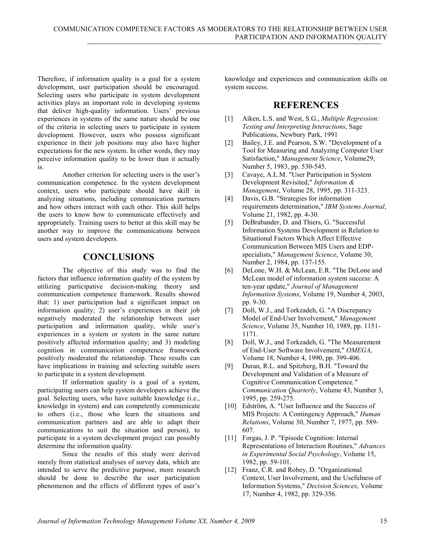Therefore, if information quality is a goal for a system development, user participation should be encouraged. Selecting users who participate in system development activities plays an important role in developing systems that deliver high-quality information. Users' previous experiences in systems of the same nature should be one of the criteria in selecting users to participate in system development. However, users who possess significant experience in their job positions may also have higher expectations for the new system. In other words, they may perceive information quality to be lower than it actually is.

Another criterion for selecting users is the user's communication competence. In the system development context, users who participate should have skill in analyzing situations, including communication partners and how others interact with each other. This skill helps the users to know how to communicate effectively and appropriately. Training users to better at this skill may be another way to improve the communications between users and system developers.

# **CONCLUSIONS**

The objective of this study was to find the factors that influence information quality of the system by utilizing participative decision-making theory and communication competence framework. Results showed that: 1) user participation had a significant impact on information quality; 2) user's experiences in their job negatively moderated the relationship between user participation and information quality, while user's experiences in a system or system in the same nature positively affected information quality; and 3) modeling cognition in communication competence framework positively moderated the relationship. These results can have implications in training and selecting suitable users to participate in a system development.

If information quality is a goal of a system, participating users can help system developers achieve the goal. Selecting users, who have suitable knowledge (i.e., knowledge in system) and can competently communicate to others (i.e., those who learn the situations and communication partners and are able to adapt their communications to suit the situation and person), to participate in a system development project can possibly determine the information quality.

Since the results of this study were derived merely from statistical analyses of survey data, which are intended to serve the predictive purpose, more research should be done to describe the user participation phenomenon and the effects of different types of user's

knowledge and experiences and communication skills on system success.

# **REFERENCES**

- [1] Aiken, L.S. and West, S.G., *Multiple Regression: Testing and Interpreting Interactions*, Sage Publications, Newbury Park, 1991
- [2] Bailey, J.E. and Pearson, S.W. "Development of a Tool for Measuring and Analyzing Computer User Satisfaction," *Management Science*, Volume29, Number 5, 1983, pp. 530-545.
- [3] Cavaye, A.L.M. "User Participation in System Development Revisited," *Information & Management*, Volume 28, 1995, pp. 311-323.
- [4] Davis, G.B. "Strategies for information requirements determination," *IBM Systems Journal*, Volume 21, 1982, pp. 4-30.
- [5] DeBrabander, D. and Thiers, G. "Successful Information Systems Development in Relation to Situational Factors Which Affect Effective Communication Between MIS Users and EDPspecialists," *Management Science*, Volume 30, Number 2, 1984, pp. 137-155.
- [6] DeLone, W.H. & McLean, E.R. "The DeLone and McLean model of information system success: A ten-year update," *Journal of Management Information Systems*, Volume 19, Number 4, 2003, pp. 9-30.
- [7] Doll, W.J., and Torkzadeh, G. "A Discrepancy Model of End-User Involvement," *Management Science*, Volume 35, Number 10, 1989, pp. 1151- 1171.
- [8] Doll, W.J., and Torkzadeh, G. "The Measurement of End-User Software Involvement," *OMEGA*, Volume 18, Number 4, 1990, pp. 399-406.
- [9] Duran, R.L. and Spitzberg, B.H. "Toward the Development and Validation of a Measure of Cognitive Communication Competence*," Communication Quarterly*, Volume 43, Number 3, 1995, pp. 259-275.
- [10] Edström, A. "User Influence and the Success of MIS Projects: A Contingency Approach," *Human Relations*, Volume 30, Number 7, 1977, pp. 589- 607.
- [11] Forgas, J. P. "Episode Cognition: Internal Representations of Interaction Routines," *Advances in Experimental Social Psychology*, Volume 15, 1982, pp. 59-101.
- [12] Franz, C.R. and Robey, D. "Organizational Context, User Involvement, and the Usefulness of Information Systems," *Decision Sciences*, Volume 17, Number 4, 1982, pp. 329-356.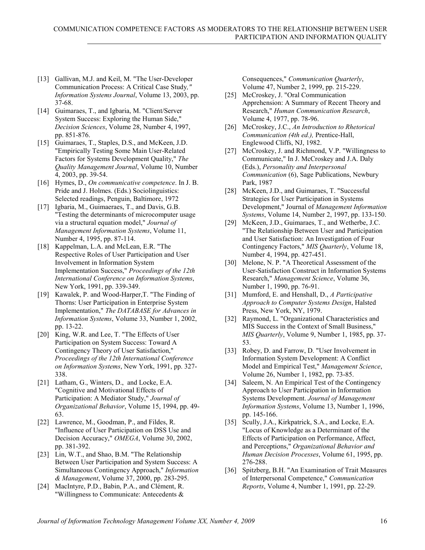- [13] Gallivan, M.J. and Keil, M. "The User-Developer Communication Process: A Critical Case Study*," Information Systems Journal*, Volume 13, 2003, pp. 37-68.
- [14] Guimaraes, T., and Igbaria, M. "Client/Server System Success: Exploring the Human Side," *Decision Sciences*, Volume 28, Number 4, 1997, pp. 851-876.
- [15] Guimaraes, T., Staples, D.S., and McKeen, J.D. "Empirically Testing Some Main User-Related Factors for Systems Development Quality," *The Quality Management Journal*, Volume 10, Number 4, 2003, pp. 39-54.
- [16] Hymes, D., *On communicative competence*. In J. B. Pride and J. Holmes. (Eds.) Sociolinguistics: Selected readings, Penguin, Baltimore, 1972
- [17] Igbaria, M., Guimaeraes, T., and Davis, G.B. "Testing the determinants of microcomputer usage via a structural equation model," *Journal of Management Information Systems*, Volume 11, Number 4, 1995, pp. 87-114.
- [18] Kappelman, L.A. and McLean, E.R. "The Respective Roles of User Participation and User Involvement in Information System Implementation Success," *Proceedings of the 12th International Conference on Information Systems*, New York, 1991, pp. 339-349.
- [19] Kawalek, P. and Wood-Harper, T. "The Finding of Thorns: User Participation in Enterprise System Implementation," *The DATABASE for Advances in Information Systems*, Volume 33, Number 1, 2002, pp. 13-22.
- [20] King, W.R. and Lee, T. "The Effects of User Participation on System Success: Toward A Contingency Theory of User Satisfaction," *Proceedings of the 12th International Conference on Information Systems*, New York, 1991, pp. 327- 338.
- [21] Latham, G., Winters, D., and Locke, E.A. "Cognitive and Motivational Effects of Participation: A Mediator Study," *Journal of Organizational Behavior*, Volume 15, 1994, pp. 49- 63.
- [22] Lawrence, M., Goodman, P., and Fildes, R. "Influence of User Participation on DSS Use and Decision Accuracy," *OMEGA*, Volume 30, 2002, pp. 381-392.
- [23] Lin, W.T., and Shao, B.M. "The Relationship Between User Participation and System Success: A Simultaneous Contingency Approach," *Information & Management*, Volume 37, 2000, pp. 283-295.
- [24] MacIntyre, P.D., Babin, P.A., and Clément, R. "Willingness to Communicate: Antecedents &

Consequences," *Communication Quarterly*, Volume 47, Number 2, 1999, pp. 215-229.

- [25] McCroskey, J. "Oral Communication Apprehension: A Summary of Recent Theory and Research," *Human Communication Research*, Volume 4, 1977, pp. 78-96.
- [26] McCroskey, J.C., *An Introduction to Rhetorical Communication (4th ed.),* Prentice-Hall, Englewood Cliffs, NJ, 1982.
- [27] McCroskey, J. and Richmond, V.P. "Willingness to Communicate," In J. McCroskey and J.A. Daly (Eds.), *Personality and Interpersonal Communication* (6), Sage Publications, Newbury Park, 1987
- [28] McKeen, J.D., and Guimaraes, T. "Successful Strategies for User Participation in Systems Development," Journal of *Management Information Systems*, Volume 14, Number 2, 1997, pp. 133-150.
- [29] McKeen, J.D., Guimaraes, T., and Wetherbe, J.C. "The Relationship Between User and Participation and User Satisfaction: An Investigation of Four Contingency Factors," *MIS Quarterly*, Volume 18, Number 4, 1994, pp. 427-451.
- [30] Melone, N. P. "A Theoretical Assessment of the User-Satisfaction Construct in Information Systems Research," *Management Science*, Volume 36, Number 1, 1990, pp. 76-91.
- [31] Mumford, E. and Henshall, D., *A Participative Approach to Computer Systems Design*, Halsted Press, New York, NY, 1979.
- [32] Raymond, L. "Organizational Characteristics and MIS Success in the Context of Small Business," *MIS Quarterly*, Volume 9, Number 1, 1985, pp. 37- 53.
- [33] Robey, D. and Farrow, D. "User Involvement in Information System Development: A Conflict Model and Empirical Test," *Management Science*, Volume 26, Number 1, 1982, pp. 73-85.
- [34] Saleem, N. An Empirical Test of the Contingency Approach to User Participation in Information Systems Development. *Journal of Management Information Systems*, Volume 13, Number 1, 1996, pp. 145-166.
- [35] Scully, J.A., Kirkpatrick, S.A., and Locke, E.A. "Locus of Knowledge as a Determinant of the Effects of Participation on Performance, Affect, and Perceptions," *Organizational Behavior and Human Decision Processes*, Volume 61, 1995, pp. 276-288.
- [36] Spitzberg, B.H. "An Examination of Trait Measures of Interpersonal Competence," *Communication Reports*, Volume 4, Number 1, 1991, pp. 22-29.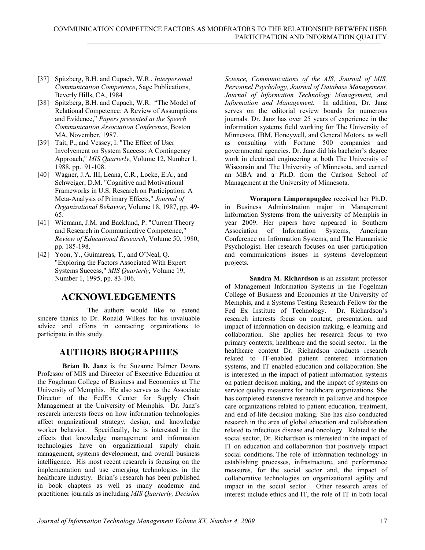- [37] Spitzberg, B.H. and Cupach, W.R., *Interpersonal Communication Competence*, Sage Publications, Beverly Hills, CA, 1984
- [38] Spitzberg, B.H. and Cupach, W.R. "The Model of Relational Competence: A Review of Assumptions and Evidence," *Papers presented at the Speech Communication Association Conference*, Boston MA, November, 1987.
- [39] Tait, P., and Vessey, I. "The Effect of User Involvement on System Success: A Contingency Approach," *MIS Quarterly*, Volume 12, Number 1, 1988, pp. 91-108.
- [40] Wagner, J.A. III, Leana, C.R., Locke, E.A., and Schweiger, D.M. "Cognitive and Motivational Frameworks in U.S. Research on Participation: A Meta-Analysis of Primary Effects," *Journal of Organizational Behavior*, Volume 18, 1987, pp. 49- 65.
- [41] Wiemann, J.M. and Backlund, P. "Current Theory and Research in Communicative Competence," *Review of Educational Research*, Volume 50, 1980, pp. 185-198.
- [42] Yoon, Y., Guimareas, T., and O'Neal, O. "Exploring the Factors Associated With Expert Systems Success," *MIS Quarterly*, Volume 19, Number 1, 1995, pp. 83-106.

# **ACKNOWLEDGEMENTS**

The authors would like to extend sincere thanks to Dr. Ronald Wilkes for his invaluable advice and efforts in contacting organizations to participate in this study.

# **AUTHORS BIOGRAPHIES**

**Brian D. Janz** is the Suzanne Palmer Downs Professor of MIS and Director of Executive Education at the Fogelman College of Business and Economics at The University of Memphis. He also serves as the Associate Director of the FedEx Center for Supply Chain Management at the University of Memphis. Dr. Janz's research interests focus on how information technologies affect organizational strategy, design, and knowledge worker behavior. Specifically, he is interested in the effects that knowledge management and information technologies have on organizational supply chain management, systems development, and overall business intelligence. His most recent research is focusing on the implementation and use emerging technologies in the healthcare industry. Brian's research has been published in book chapters as well as many academic and practitioner journals as including *MIS Quarterly, Decision*

*Science, Communications of the AIS, Journal of MIS, Personnel Psychology, Journal of Database Management, Journal of Information Technology Management,* and *Information and Management.* In addition, Dr. Janz serves on the editorial review boards for numerous journals. Dr. Janz has over 25 years of experience in the information systems field working for The University of Minnesota, IBM, Honeywell, and General Motors, as well as consulting with Fortune 500 companies and governmental agencies. Dr. Janz did his bachelor's degree work in electrical engineering at both The University of Wisconsin and The University of Minnesota, and earned an MBA and a Ph.D. from the Carlson School of Management at the University of Minnesota.

**Woraporn Limpornpugdee** received her Ph.D. in Business Administration major in Management Information Systems from the university of Memphis in year 2009. Her papers have appeared in Southern Association of Information Systems, American Conference on Information Systems, and The Humanistic Psychologist. Her research focuses on user participation and communications issues in systems development projects.

**Sandra M. Richardson** is an assistant professor of Management Information Systems in the Fogelman College of Business and Economics at the University of Memphis, and a Systems Testing Research Fellow for the Fed Ex Institute of Technology. Dr. Richardson's research interests focus on content, presentation, and impact of information on decision making, e-learning and collaboration. She applies her research focus to two primary contexts; healthcare and the social sector. In the healthcare context Dr. Richardson conducts research related to IT-enabled patient centered information systems, and IT enabled education and collaboration. She is interested in the impact of patient information systems on patient decision making, and the impact of systems on service quality measures for healthcare organizations. She has completed extensive research in palliative and hospice care organizations related to patient education, treatment, and end-of-life decision making. She has also conducted research in the area of global education and collaboration related to infectious disease and oncology. Related to the social sector, Dr. Richardson is interested in the impact of IT on education and collaboration that positively impact social conditions. The role of information technology in establishing processes, infrastructure, and performance measures, for the social sector and, the impact of collaborative technologies on organizational agility and impact in the social sector. Other research areas of interest include ethics and IT, the role of IT in both local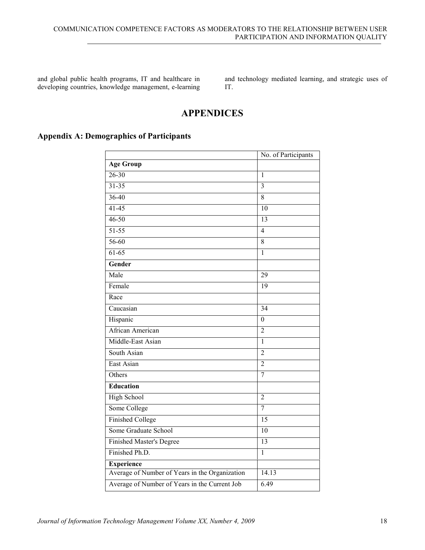and global public health programs, IT and healthcare in developing countries, knowledge management, e-learning

and technology mediated learning, and strategic uses of IT.

# **APPENDICES**

# **Appendix A: Demographics of Participants**

|                                                | No. of Participants |
|------------------------------------------------|---------------------|
| <b>Age Group</b>                               |                     |
| $26 - 30$                                      | $\mathbf{1}$        |
| $31 - 35$                                      | $\overline{3}$      |
| $36 - 40$                                      | 8                   |
| $41 - 45$                                      | 10                  |
| $46 - 50$                                      | 13                  |
| $51 - 55$                                      | $\overline{4}$      |
| 56-60                                          | 8                   |
| $61-65$                                        | $\mathbf{1}$        |
| Gender                                         |                     |
| Male                                           | 29                  |
| Female                                         | 19                  |
| Race                                           |                     |
| Caucasian                                      | 34                  |
| Hispanic                                       | $\boldsymbol{0}$    |
| African American                               | $\overline{2}$      |
| Middle-East Asian                              | $\mathbf{1}$        |
| South Asian                                    | $\overline{2}$      |
| East Asian                                     | $\overline{2}$      |
| Others                                         | $\overline{7}$      |
| <b>Education</b>                               |                     |
| High School                                    | $\overline{2}$      |
| Some College                                   | $\overline{7}$      |
| <b>Finished College</b>                        | 15                  |
| Some Graduate School                           | $\overline{10}$     |
| Finished Master's Degree                       | 13                  |
| Finished Ph.D.                                 | $\mathbf{1}$        |
| <b>Experience</b>                              |                     |
| Average of Number of Years in the Organization | 14.13               |
| Average of Number of Years in the Current Job  | 6.49                |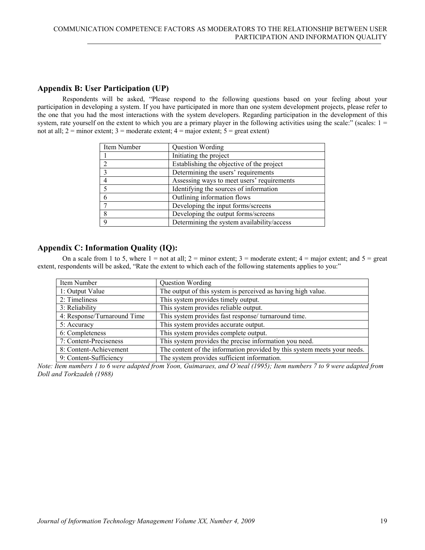### **Appendix B: User Participation (UP)**

Respondents will be asked, "Please respond to the following questions based on your feeling about your participation in developing a system. If you have participated in more than one system development projects, please refer to the one that you had the most interactions with the system developers. Regarding participation in the development of this system, rate yourself on the extent to which you are a primary player in the following activities using the scale:" (scales:  $1 =$ not at all;  $2 =$  minor extent;  $3 =$  moderate extent;  $4 =$  major extent;  $5 =$  great extent)

| Item Number | Question Wording                           |
|-------------|--------------------------------------------|
|             | Initiating the project                     |
| 2           | Establishing the objective of the project  |
| 3           | Determining the users' requirements        |
|             | Assessing ways to meet users' requirements |
|             | Identifying the sources of information     |
|             | Outlining information flows                |
|             | Developing the input forms/screens         |
| 8           | Developing the output forms/screens        |
| $\mathbf Q$ | Determining the system availability/access |

### **Appendix C: Information Quality (IQ):**

On a scale from 1 to 5, where  $1 =$  not at all;  $2 =$  minor extent;  $3 =$  moderate extent;  $4 =$  major extent; and  $5 =$  great extent, respondents will be asked, "Rate the extent to which each of the following statements applies to you:"

| Item Number                 | Question Wording                                                         |
|-----------------------------|--------------------------------------------------------------------------|
| 1: Output Value             | The output of this system is perceived as having high value.             |
| 2: Timeliness               | This system provides timely output.                                      |
| 3: Reliability              | This system provides reliable output.                                    |
| 4: Response/Turnaround Time | This system provides fast response/ turnaround time.                     |
| 5: Accuracy                 | This system provides accurate output.                                    |
| 6: Completeness             | This system provides complete output.                                    |
| 7: Content-Preciseness      | This system provides the precise information you need.                   |
| 8: Content-Achievement      | The content of the information provided by this system meets your needs. |
| 9: Content-Sufficiency      | The system provides sufficient information.                              |

*Note: Item numbers 1 to 6 were adapted from Yoon, Guimaraes, and O'neal (1995); Item numbers 7 to 9 were adapted from Doll and Torkzadeh (1988)*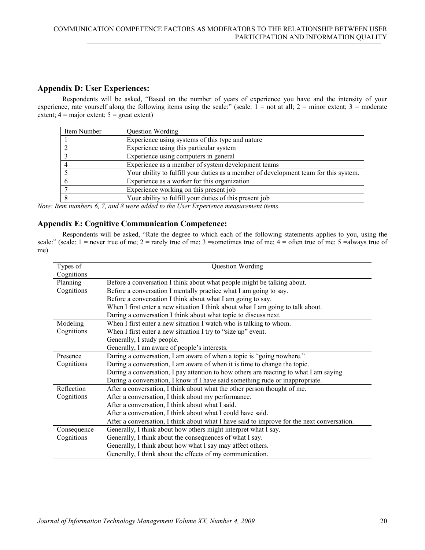### **Appendix D: User Experiences:**

Respondents will be asked, "Based on the number of years of experience you have and the intensity of your experience, rate yourself along the following items using the scale:" (scale:  $1 =$  not at all;  $2 =$  minor extent;  $3 =$  moderate extent;  $4 = \text{major extent}$ ;  $5 = \text{great extent}$ )

| Item Number | Question Wording                                                                     |
|-------------|--------------------------------------------------------------------------------------|
|             | Experience using systems of this type and nature                                     |
|             | Experience using this particular system                                              |
|             | Experience using computers in general                                                |
|             | Experience as a member of system development teams                                   |
|             | Your ability to fulfill your duties as a member of development team for this system. |
|             | Experience as a worker for this organization                                         |
|             | Experience working on this present job                                               |
|             | Your ability to fulfill your duties of this present job                              |

*Note: Item numbers 6, 7, and 8 were added to the User Experience measurement items.*

### **Appendix E: Cognitive Communication Competence:**

Respondents will be asked, "Rate the degree to which each of the following statements applies to you, using the scale:" (scale:  $1 =$  never true of me;  $2 =$  rarely true of me; 3 = sometimes true of me;  $4 =$  often true of me; 5 = always true of me)

| Types of    | Question Wording                                                                           |
|-------------|--------------------------------------------------------------------------------------------|
| Cognitions  |                                                                                            |
| Planning    | Before a conversation I think about what people might be talking about.                    |
| Cognitions  | Before a conversation I mentally practice what I am going to say.                          |
|             | Before a conversation I think about what I am going to say.                                |
|             | When I first enter a new situation I think about what I am going to talk about.            |
|             | During a conversation I think about what topic to discuss next.                            |
| Modeling    | When I first enter a new situation I watch who is talking to whom.                         |
| Cognitions  | When I first enter a new situation I try to "size up" event.                               |
|             | Generally, I study people.                                                                 |
|             | Generally, I am aware of people's interests.                                               |
| Presence    | During a conversation, I am aware of when a topic is "going nowhere."                      |
| Cognitions  | During a conversation, I am aware of when it is time to change the topic.                  |
|             | During a conversation, I pay attention to how others are reacting to what I am saying.     |
|             | During a conversation, I know if I have said something rude or inappropriate.              |
| Reflection  | After a conversation, I think about what the other person thought of me.                   |
| Cognitions  | After a conversation, I think about my performance.                                        |
|             | After a conversation, I think about what I said.                                           |
|             | After a conversation, I think about what I could have said.                                |
|             | After a conversation, I think about what I have said to improve for the next conversation. |
| Consequence | Generally, I think about how others might interpret what I say.                            |
| Cognitions  | Generally, I think about the consequences of what I say.                                   |
|             | Generally, I think about how what I say may affect others.                                 |
|             | Generally, I think about the effects of my communication.                                  |